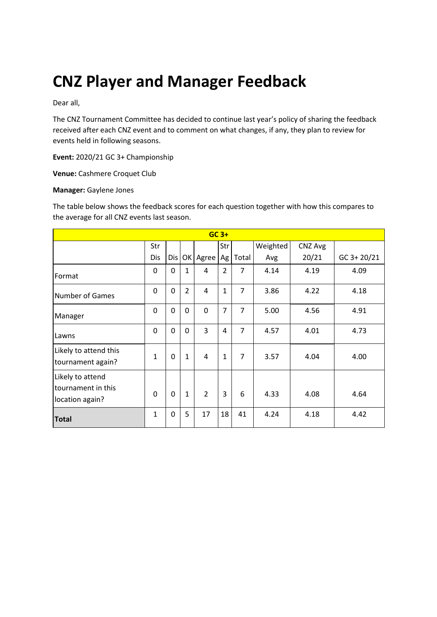# **CNZ Player and Manager Feedback**

Dear all,

The CNZ Tournament Committee has decided to continue last year's policy of sharing the feedback received after each CNZ event and to comment on what changes, if any, they plan to review for events held in following seasons.

**Event:** 2020/21 GC 3+ Championship

**Venue:** Cashmere Croquet Club

#### **Manager:** Gaylene Jones

The table below shows the feedback scores for each question together with how this compares to the average for all CNZ events last season.

| $GC$ 3+                                                   |              |          |                |                |                |                |          |         |               |
|-----------------------------------------------------------|--------------|----------|----------------|----------------|----------------|----------------|----------|---------|---------------|
|                                                           | Str          |          |                |                | Str            |                | Weighted | CNZ Avg |               |
|                                                           | Dis          | Dis      |                | OK Agree       | Ag             | Total          | Avg      | 20/21   | $GC$ 3+ 20/21 |
| Format                                                    | 0            | 0        | $\mathbf{1}$   | 4              | $\overline{2}$ | 7              | 4.14     | 4.19    | 4.09          |
| <b>Number of Games</b>                                    | 0            | 0        | $\overline{2}$ | 4              | $\mathbf{1}$   | $\overline{7}$ | 3.86     | 4.22    | 4.18          |
| Manager                                                   | 0            | 0        | $\mathbf 0$    | $\mathbf 0$    | $\overline{7}$ | $\overline{7}$ | 5.00     | 4.56    | 4.91          |
| Lawns                                                     | 0            | 0        | $\Omega$       | 3              | 4              | $\overline{7}$ | 4.57     | 4.01    | 4.73          |
| Likely to attend this<br>tournament again?                | $\mathbf{1}$ | 0        | $\mathbf{1}$   | 4              | $\mathbf{1}$   | 7              | 3.57     | 4.04    | 4.00          |
| Likely to attend<br>tournament in this<br>location again? | $\Omega$     | $\Omega$ | $\mathbf{1}$   | $\overline{2}$ | 3              | 6              | 4.33     | 4.08    | 4.64          |
| <b>Total</b>                                              | $\mathbf{1}$ | 0        | 5              | 17             | 18             | 41             | 4.24     | 4.18    | 4.42          |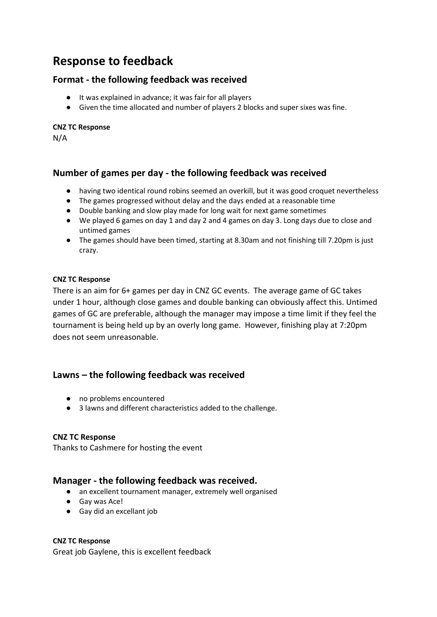# **Response to feedback**

#### **Format - the following feedback was received**

- It was explained in advance; it was fair for all players
- Given the time allocated and number of players 2 blocks and super sixes was fine.

#### **CNZ TC Response**

N/A

# **Number of games per day - the following feedback was received**

- having two identical round robins seemed an overkill, but it was good croquet nevertheless
- The games progressed without delay and the days ended at a reasonable time
- Double banking and slow play made for long wait for next game sometimes
- We played 6 games on day 1 and day 2 and 4 games on day 3. Long days due to close and untimed games
- The games should have been timed, starting at 8.30am and not finishing till 7.20pm is just crazy.

#### **CNZ TC Response**

There is an aim for 6+ games per day in CNZ GC events. The average game of GC takes under 1 hour, although close games and double banking can obviously affect this. Untimed games of GC are preferable, although the manager may impose a time limit if they feel the tournament is being held up by an overly long game. However, finishing play at 7:20pm does not seem unreasonable.

## **Lawns – the following feedback was received**

- no problems encountered
- 3 lawns and different characteristics added to the challenge.

#### **CNZ TC Response**

Thanks to Cashmere for hosting the event

## **Manager - the following feedback was received.**

- an excellent tournament manager, extremely well organised
- Gay was Ace!
- Gay did an excellant job

#### **CNZ TC Response**

Great job Gaylene, this is excellent feedback